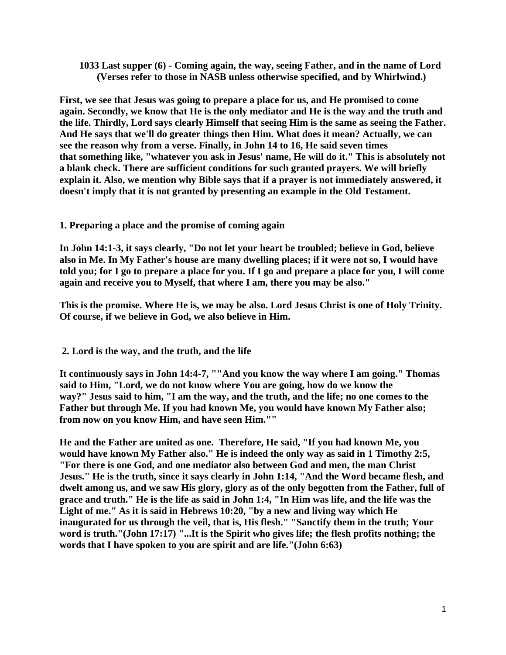## **1033 Last supper (6) - Coming again, the way, seeing Father, and in the name of Lord (Verses refer to those in NASB unless otherwise specified, and by Whirlwind.)**

**First, we see that Jesus was going to prepare a place for us, and He promised to come again. Secondly, we know that He is the only mediator and He is the way and the truth and the life. Thirdly, Lord says clearly Himself that seeing Him is the same as seeing the Father. And He says that we'll do greater things then Him. What does it mean? Actually, we can see the reason why from a verse. Finally, in John 14 to 16, He said seven times that something like, "whatever you ask in Jesus' name, He will do it." This is absolutely not a blank check. There are sufficient conditions for such granted prayers. We will briefly explain it. Also, we mention why Bible says that if a prayer is not immediately answered, it doesn't imply that it is not granted by presenting an example in the Old Testament.**

## **1. Preparing a place and the promise of coming again**

**In John 14:1-3, it says clearly, "Do not let your heart be troubled; believe in God, believe also in Me. In My Father's house are many dwelling places; if it were not so, I would have told you; for I go to prepare a place for you. If I go and prepare a place for you, I will come again and receive you to Myself, that where I am, there you may be also."**

**This is the promise. Where He is, we may be also. Lord Jesus Christ is one of Holy Trinity. Of course, if we believe in God, we also believe in Him.**

**2. Lord is the way, and the truth, and the life**

**It continuously says in John 14:4-7, ""And you know the way where I am going." Thomas said to Him, "Lord, we do not know where You are going, how do we know the way?" Jesus said to him, "I am the way, and the truth, and the life; no one comes to the Father but through Me. If you had known Me, you would have known My Father also; from now on you know Him, and have seen Him.""**

**He and the Father are united as one. Therefore, He said, "If you had known Me, you would have known My Father also." He is indeed the only way as said in 1 Timothy 2:5, "For there is one God, and one mediator also between God and men, the man Christ Jesus." He is the truth, since it says clearly in John 1:14, "And the Word became flesh, and dwelt among us, and we saw His glory, glory as of the only begotten from the Father, full of grace and truth." He is the life as said in John 1:4, "In Him was life, and the life was the Light of me." As it is said in Hebrews 10:20, "by a new and living way which He inaugurated for us through the veil, that is, His flesh." "Sanctify them in the truth; Your word is truth."(John 17:17) "...It is the Spirit who gives life; the flesh profits nothing; the words that I have spoken to you are spirit and are life."(John 6:63)**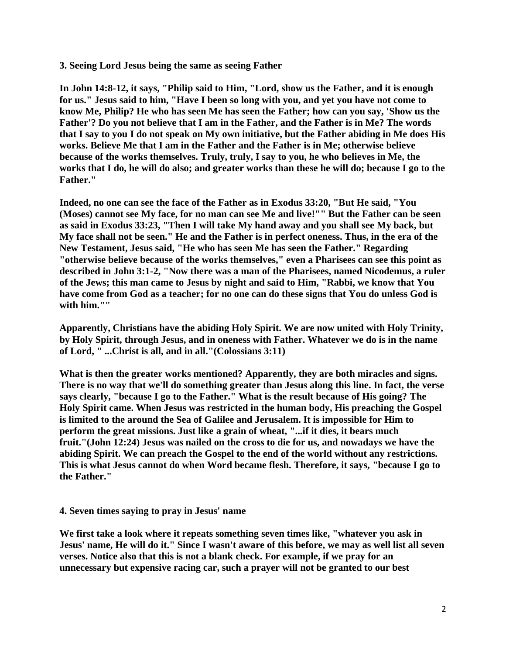**3. Seeing Lord Jesus being the same as seeing Father**

**In John 14:8-12, it says, "Philip said to Him, "Lord, show us the Father, and it is enough for us." Jesus said to him, "Have I been so long with you, and yet you have not come to know Me, Philip? He who has seen Me has seen the Father; how can you say, 'Show us the Father'? Do you not believe that I am in the Father, and the Father is in Me? The words that I say to you I do not speak on My own initiative, but the Father abiding in Me does His works. Believe Me that I am in the Father and the Father is in Me; otherwise believe because of the works themselves. Truly, truly, I say to you, he who believes in Me, the works that I do, he will do also; and greater works than these he will do; because I go to the Father."**

**Indeed, no one can see the face of the Father as in Exodus 33:20, "But He said, "You (Moses) cannot see My face, for no man can see Me and live!"" But the Father can be seen as said in Exodus 33:23, "Then I will take My hand away and you shall see My back, but My face shall not be seen." He and the Father is in perfect oneness. Thus, in the era of the New Testament, Jesus said, "He who has seen Me has seen the Father." Regarding "otherwise believe because of the works themselves," even a Pharisees can see this point as described in John 3:1-2, "Now there was a man of the Pharisees, named Nicodemus, a ruler of the Jews; this man came to Jesus by night and said to Him, "Rabbi, we know that You have come from God as a teacher; for no one can do these signs that You do unless God is with him.""**

**Apparently, Christians have the abiding Holy Spirit. We are now united with Holy Trinity, by Holy Spirit, through Jesus, and in oneness with Father. Whatever we do is in the name of Lord, " ...Christ is all, and in all."(Colossians 3:11)**

**What is then the greater works mentioned? Apparently, they are both miracles and signs. There is no way that we'll do something greater than Jesus along this line. In fact, the verse says clearly, "because I go to the Father." What is the result because of His going? The Holy Spirit came. When Jesus was restricted in the human body, His preaching the Gospel is limited to the around the Sea of Galilee and Jerusalem. It is impossible for Him to perform the great missions. Just like a grain of wheat, "...if it dies, it bears much fruit."(John 12:24) Jesus was nailed on the cross to die for us, and nowadays we have the abiding Spirit. We can preach the Gospel to the end of the world without any restrictions. This is what Jesus cannot do when Word became flesh. Therefore, it says, "because I go to the Father."**

## **4. Seven times saying to pray in Jesus' name**

**We first take a look where it repeats something seven times like, "whatever you ask in Jesus' name, He will do it." Since I wasn't aware of this before, we may as well list all seven verses. Notice also that this is not a blank check. For example, if we pray for an unnecessary but expensive racing car, such a prayer will not be granted to our best**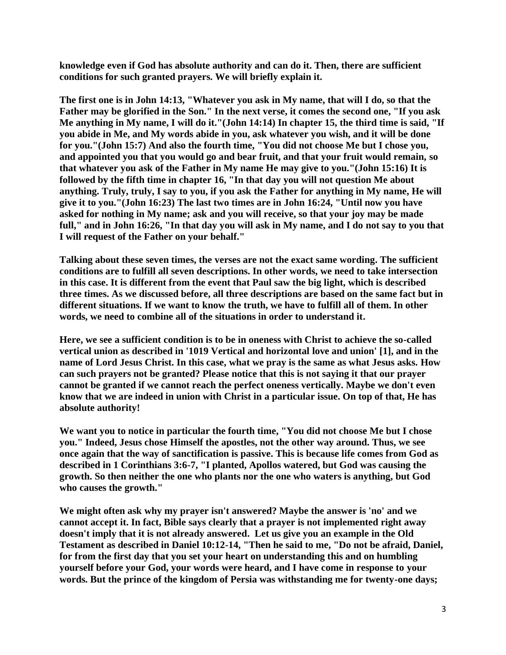**knowledge even if God has absolute authority and can do it. Then, there are sufficient conditions for such granted prayers. We will briefly explain it.**

**The first one is in John 14:13, "Whatever you ask in My name, that will I do, so that the Father may be glorified in the Son." In the next verse, it comes the second one, "If you ask Me anything in My name, I will do it."(John 14:14) In chapter 15, the third time is said, "If you abide in Me, and My words abide in you, ask whatever you wish, and it will be done for you."(John 15:7) And also the fourth time, "You did not choose Me but I chose you, and appointed you that you would go and bear fruit, and that your fruit would remain, so that whatever you ask of the Father in My name He may give to you."(John 15:16) It is followed by the fifth time in chapter 16, "In that day you will not question Me about anything. Truly, truly, I say to you, if you ask the Father for anything in My name, He will give it to you."(John 16:23) The last two times are in John 16:24, "Until now you have asked for nothing in My name; ask and you will receive, so that your joy may be made full," and in John 16:26, "In that day you will ask in My name, and I do not say to you that I will request of the Father on your behalf."**

**Talking about these seven times, the verses are not the exact same wording. The sufficient conditions are to fulfill all seven descriptions. In other words, we need to take intersection in this case. It is different from the event that Paul saw the big light, which is described three times. As we discussed before, all three descriptions are based on the same fact but in different situations. If we want to know the truth, we have to fulfill all of them. In other words, we need to combine all of the situations in order to understand it.**

**Here, we see a sufficient condition is to be in oneness with Christ to achieve the so-called vertical union as described in '1019 Vertical and horizontal love and union' [1], and in the name of Lord Jesus Christ. In this case, what we pray is the same as what Jesus asks. How can such prayers not be granted? Please notice that this is not saying it that our prayer cannot be granted if we cannot reach the perfect oneness vertically. Maybe we don't even know that we are indeed in union with Christ in a particular issue. On top of that, He has absolute authority!**

**We want you to notice in particular the fourth time, "You did not choose Me but I chose you." Indeed, Jesus chose Himself the apostles, not the other way around. Thus, we see once again that the way of sanctification is passive. This is because life comes from God as described in 1 Corinthians 3:6-7, "I planted, Apollos watered, but God was causing the growth. So then neither the one who plants nor the one who waters is anything, but God who causes the growth."**

**We might often ask why my prayer isn't answered? Maybe the answer is 'no' and we cannot accept it. In fact, Bible says clearly that a prayer is not implemented right away doesn't imply that it is not already answered. Let us give you an example in the Old Testament as described in Daniel 10:12-14, "Then he said to me, "Do not be afraid, Daniel, for from the first day that you set your heart on understanding this and on humbling yourself before your God, your words were heard, and I have come in response to your words. But the prince of the kingdom of Persia was withstanding me for twenty-one days;**